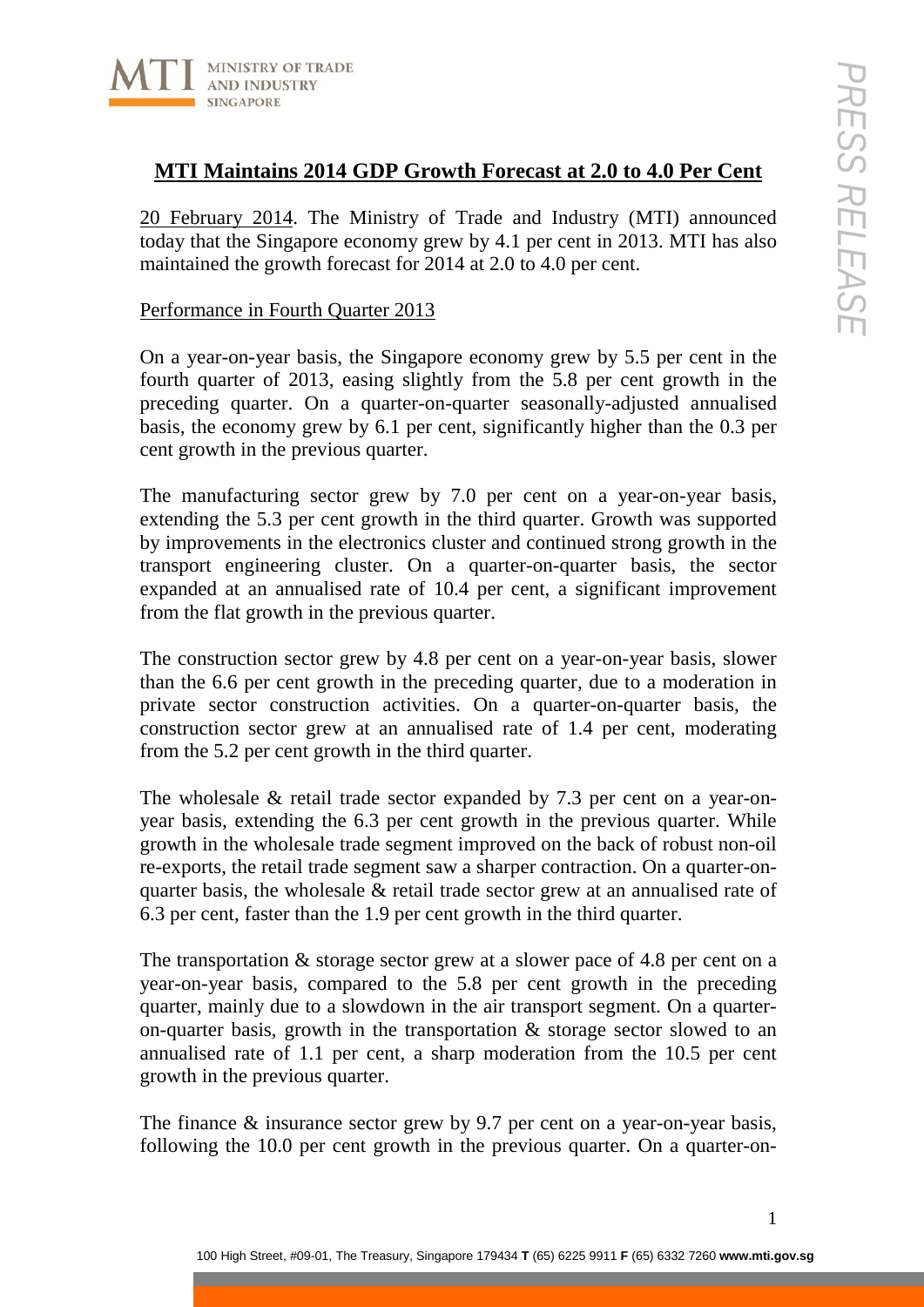

# **MTI Maintains 2014 GDP Growth Forecast at 2.0 to 4.0 Per Cent**

20 February 2014. The Ministry of Trade and Industry (MTI) announced today that the Singapore economy grew by 4.1 per cent in 2013. MTI has also maintained the growth forecast for 2014 at 2.0 to 4.0 per cent.

### Performance in Fourth Quarter 2013

On a year-on-year basis, the Singapore economy grew by 5.5 per cent in the fourth quarter of 2013, easing slightly from the 5.8 per cent growth in the preceding quarter. On a quarter-on-quarter seasonally-adjusted annualised basis, the economy grew by 6.1 per cent, significantly higher than the 0.3 per cent growth in the previous quarter.

The manufacturing sector grew by 7.0 per cent on a year-on-year basis, extending the 5.3 per cent growth in the third quarter. Growth was supported by improvements in the electronics cluster and continued strong growth in the transport engineering cluster. On a quarter-on-quarter basis, the sector expanded at an annualised rate of 10.4 per cent, a significant improvement from the flat growth in the previous quarter.

The construction sector grew by 4.8 per cent on a year-on-year basis, slower than the 6.6 per cent growth in the preceding quarter, due to a moderation in private sector construction activities. On a quarter-on-quarter basis, the construction sector grew at an annualised rate of 1.4 per cent, moderating from the 5.2 per cent growth in the third quarter.

The wholesale & retail trade sector expanded by 7.3 per cent on a year-onyear basis, extending the 6.3 per cent growth in the previous quarter. While growth in the wholesale trade segment improved on the back of robust non-oil re-exports, the retail trade segment saw a sharper contraction. On a quarter-onquarter basis, the wholesale & retail trade sector grew at an annualised rate of 6.3 per cent, faster than the 1.9 per cent growth in the third quarter.

The transportation & storage sector grew at a slower pace of 4.8 per cent on a year-on-year basis, compared to the 5.8 per cent growth in the preceding quarter, mainly due to a slowdown in the air transport segment. On a quarteron-quarter basis, growth in the transportation & storage sector slowed to an annualised rate of 1.1 per cent, a sharp moderation from the 10.5 per cent growth in the previous quarter.

The finance & insurance sector grew by 9.7 per cent on a year-on-year basis, following the 10.0 per cent growth in the previous quarter. On a quarter-on-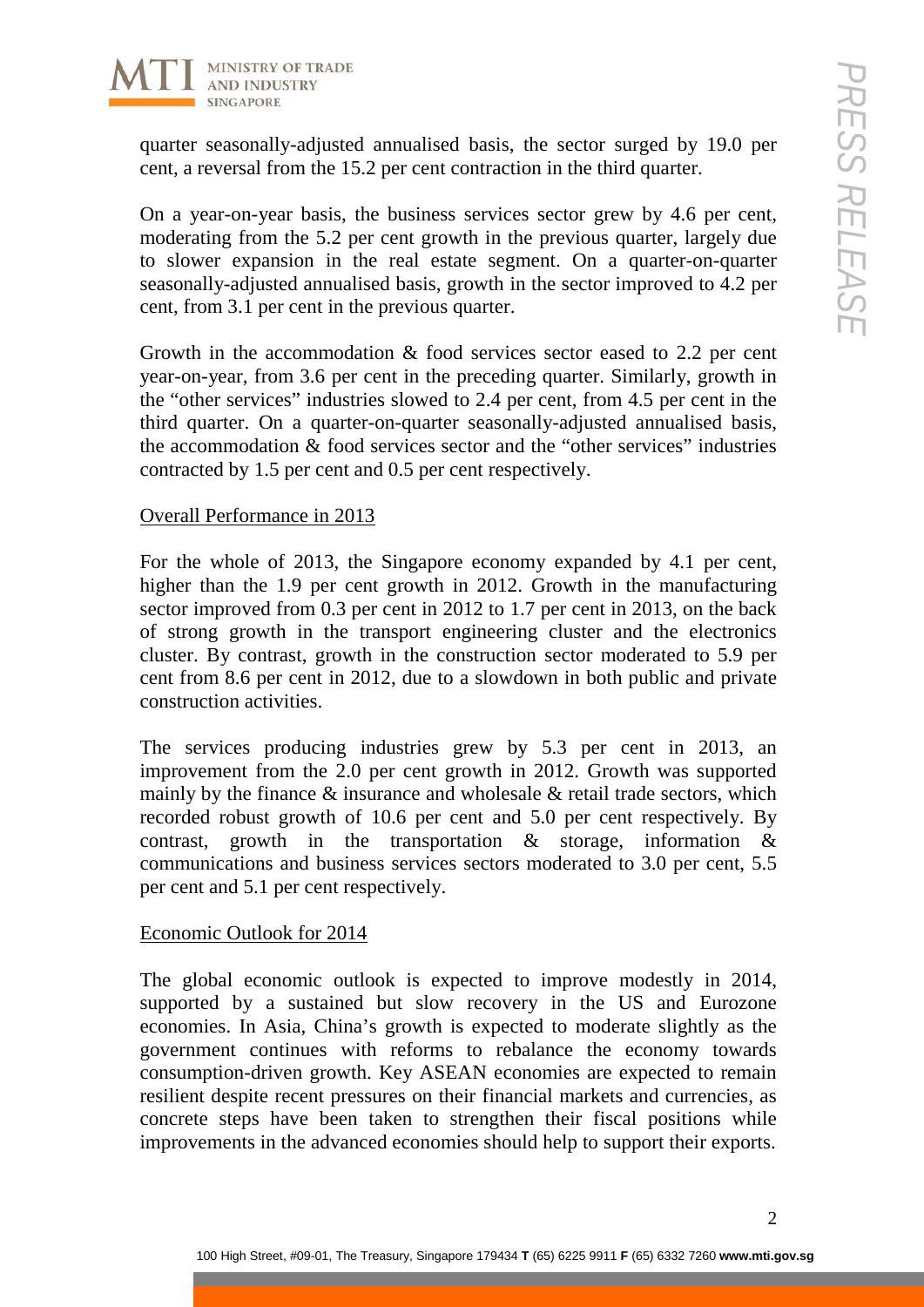

quarter seasonally-adjusted annualised basis, the sector surged by 19.0 per cent, a reversal from the 15.2 per cent contraction in the third quarter.

On a year-on-year basis, the business services sector grew by 4.6 per cent, moderating from the 5.2 per cent growth in the previous quarter, largely due to slower expansion in the real estate segment. On a quarter-on-quarter seasonally-adjusted annualised basis, growth in the sector improved to 4.2 per cent, from 3.1 per cent in the previous quarter.

Growth in the accommodation & food services sector eased to 2.2 per cent year-on-year, from 3.6 per cent in the preceding quarter. Similarly, growth in the "other services" industries slowed to 2.4 per cent, from 4.5 per cent in the third quarter. On a quarter-on-quarter seasonally-adjusted annualised basis, the accommodation & food services sector and the "other services" industries contracted by 1.5 per cent and 0.5 per cent respectively.

## Overall Performance in 2013

For the whole of 2013, the Singapore economy expanded by 4.1 per cent, higher than the 1.9 per cent growth in 2012. Growth in the manufacturing sector improved from 0.3 per cent in 2012 to 1.7 per cent in 2013, on the back of strong growth in the transport engineering cluster and the electronics cluster. By contrast, growth in the construction sector moderated to 5.9 per cent from 8.6 per cent in 2012, due to a slowdown in both public and private construction activities.

The services producing industries grew by 5.3 per cent in 2013, an improvement from the 2.0 per cent growth in 2012. Growth was supported mainly by the finance & insurance and wholesale & retail trade sectors, which recorded robust growth of 10.6 per cent and 5.0 per cent respectively. By contrast, growth in the transportation & storage, information & communications and business services sectors moderated to 3.0 per cent, 5.5 per cent and 5.1 per cent respectively.

### Economic Outlook for 2014

The global economic outlook is expected to improve modestly in 2014, supported by a sustained but slow recovery in the US and Eurozone economies. In Asia, China's growth is expected to moderate slightly as the government continues with reforms to rebalance the economy towards consumption-driven growth. Key ASEAN economies are expected to remain resilient despite recent pressures on their financial markets and currencies, as concrete steps have been taken to strengthen their fiscal positions while improvements in the advanced economies should help to support their exports.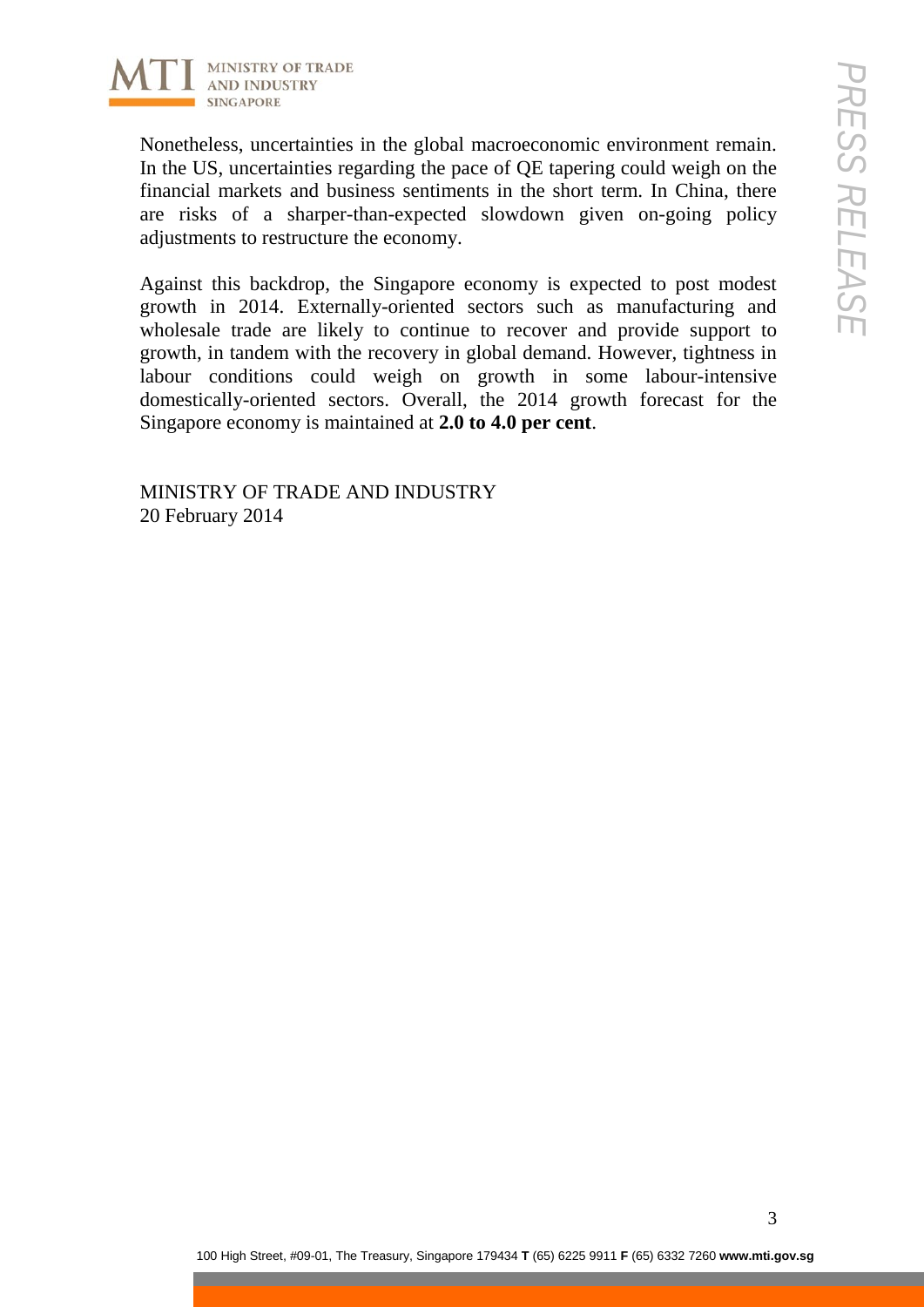

Nonetheless, uncertainties in the global macroeconomic environment remain. In the US, uncertainties regarding the pace of QE tapering could weigh on the financial markets and business sentiments in the short term. In China, there are risks of a sharper-than-expected slowdown given on-going policy

Against this backdrop, the Singapore economy is expected to post modest growth in 2014. Externally-oriented sectors such as manufacturing and wholesale trade are likely to continue to recover and provide support to growth, in tandem with the recovery in global demand. However, tightness in labour conditions could weigh on growth in some labour-intensive domestically-oriented sectors. Overall, the 2014 growth forecast for the Singapore economy is maintained at **2.0 to 4.0 per cent**.

MINISTRY OF TRADE AND INDUSTRY 20 February 2014

adjustments to restructure the economy.